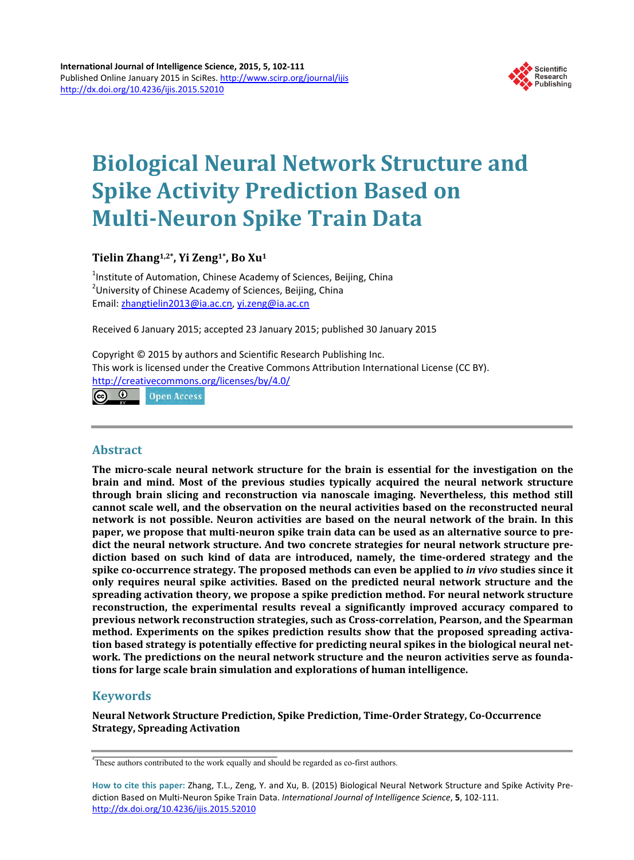

# **Biological Neural Network Structure and Spike Activity Prediction Based on Multi-Neuron Spike Train Data**

**Tielin Zhang1,2\*, Yi Zeng1\*, Bo Xu1**

<sup>1</sup>Institute of Automation, Chinese Academy of Sciences, Beijing, China <sup>2</sup>University of Chinese Academy of Sciences, Beijing, China Email: [zhangtielin2013@ia.ac.cn,](mailto:zhangtielin2013@ia.ac.cn) [yi.zeng@ia.ac.cn](mailto:yi.zeng@ia.ac.cn)

Received 6 January 2015; accepted 23 January 2015; published 30 January 2015

Copyright © 2015 by authors and Scientific Research Publishing Inc. This work is licensed under the Creative Commons Attribution International License (CC BY). <http://creativecommons.org/licenses/by/4.0/>

 $\odot$ **Open Access** 

## **Abstract**

**The micro-scale neural network structure for the brain is essential for the investigation on the brain and mind. Most of the previous studies typically acquired the neural network structure through brain slicing and reconstruction via nanoscale imaging. Nevertheless, this method still cannot scale well, and the observation on the neural activities based on the reconstructed neural network is not possible. Neuron activities are based on the neural network of the brain. In this paper, we propose that multi-neuron spike train data can be used as an alternative source to predict the neural network structure. And two concrete strategies for neural network structure prediction based on such kind of data are introduced, namely, the time-ordered strategy and the spike co-occurrence strategy. The proposed methods can even be applied to** *in vivo* **studies since it only requires neural spike activities. Based on the predicted neural network structure and the spreading activation theory, we propose a spike prediction method. For neural network structure reconstruction, the experimental results reveal a significantly improved accuracy compared to previous network reconstruction strategies, such as Cross-correlation, Pearson, and the Spearman method. Experiments on the spikes prediction results show that the proposed spreading activation based strategy is potentially effective for predicting neural spikes in the biological neural network. The predictions on the neural network structure and the neuron activities serve as foundations for large scale brain simulation and explorations of human intelligence.**

# **Keywords**

**Neural Network Structure Prediction, Spike Prediction, Time-Order Strategy, Co-Occurrence Strategy, Spreading Activation**

<sup>\*</sup> These authors contributed to the work equally and should be regarded as co-first authors.

**How to cite this paper:** Zhang, T.L., Zeng, Y. and Xu, B. (2015) Biological Neural Network Structure and Spike Activity Prediction Based on Multi-Neuron Spike Train Data. *International Journal of Intelligence Science*, **5**, 102-111. <http://dx.doi.org/10.4236/ijis.2015.52010>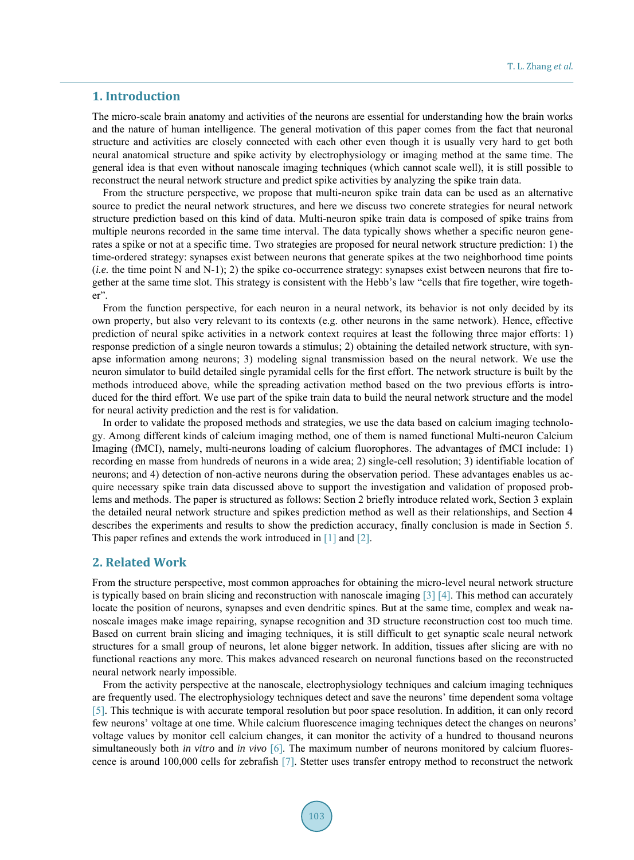# **1. Introduction**

The micro-scale brain anatomy and activities of the neurons are essential for understanding how the brain works and the nature of human intelligence. The general motivation of this paper comes from the fact that neuronal structure and activities are closely connected with each other even though it is usually very hard to get both neural anatomical structure and spike activity by electrophysiology or imaging method at the same time. The general idea is that even without nanoscale imaging techniques (which cannot scale well), it is still possible to reconstruct the neural network structure and predict spike activities by analyzing the spike train data.

From the structure perspective, we propose that multi-neuron spike train data can be used as an alternative source to predict the neural network structures, and here we discuss two concrete strategies for neural network structure prediction based on this kind of data. Multi-neuron spike train data is composed of spike trains from multiple neurons recorded in the same time interval. The data typically shows whether a specific neuron generates a spike or not at a specific time. Two strategies are proposed for neural network structure prediction: 1) the time-ordered strategy: synapses exist between neurons that generate spikes at the two neighborhood time points  $(i.e.$  the time point N and N-1); 2) the spike co-occurrence strategy: synapses exist between neurons that fire together at the same time slot. This strategy is consistent with the Hebb's law "cells that fire together, wire together".

From the function perspective, for each neuron in a neural network, its behavior is not only decided by its own property, but also very relevant to its contexts (e.g. other neurons in the same network). Hence, effective prediction of neural spike activities in a network context requires at least the following three major efforts: 1) response prediction of a single neuron towards a stimulus; 2) obtaining the detailed network structure, with synapse information among neurons; 3) modeling signal transmission based on the neural network. We use the neuron simulator to build detailed single pyramidal cells for the first effort. The network structure is built by the methods introduced above, while the spreading activation method based on the two previous efforts is introduced for the third effort. We use part of the spike train data to build the neural network structure and the model for neural activity prediction and the rest is for validation.

In order to validate the proposed methods and strategies, we use the data based on calcium imaging technology. Among different kinds of calcium imaging method, one of them is named functional Multi-neuron Calcium Imaging (fMCI), namely, multi-neurons loading of calcium fluorophores. The advantages of fMCI include: 1) recording en masse from hundreds of neurons in a wide area; 2) single-cell resolution; 3) identifiable location of neurons; and 4) detection of non-active neurons during the observation period. These advantages enables us acquire necessary spike train data discussed above to support the investigation and validation of proposed problems and methods. The paper is structured as follows: Section 2 briefly introduce related work, Section 3 explain the detailed neural network structure and spikes prediction method as well as their relationships, and Section 4 describes the experiments and results to show the prediction accuracy, finally conclusion is made in Section 5. This paper refines and extends the work introduced in [\[1\]](#page-8-0) and [\[2\].](#page-8-1) 

## **2. Related Work**

From the structure perspective, most common approaches for obtaining the micro-level neural network structure is typically based on brain slicing and reconstruction with nanoscale imaging [\[3\]](#page-8-2) [\[4\].](#page-8-3) This method can accurately locate the position of neurons, synapses and even dendritic spines. But at the same time, complex and weak nanoscale images make image repairing, synapse recognition and 3D structure reconstruction cost too much time. Based on current brain slicing and imaging techniques, it is still difficult to get synaptic scale neural network structures for a small group of neurons, let alone bigger network. In addition, tissues after slicing are with no functional reactions any more. This makes advanced research on neuronal functions based on the reconstructed neural network nearly impossible.

From the activity perspective at the nanoscale, electrophysiology techniques and calcium imaging techniques are frequently used. The electrophysiology techniques detect and save the neurons' time dependent soma voltage [\[5\].](#page-8-4) This technique is with accurate temporal resolution but poor space resolution. In addition, it can only record few neurons' voltage at one time. While calcium fluorescence imaging techniques detect the changes on neurons' voltage values by monitor cell calcium changes, it can monitor the activity of a hundred to thousand neurons simultaneously both *in vitro* and *in vivo* [\[6\].](#page-8-5) The maximum number of neurons monitored by calcium fluorescence is around 100,000 cells for zebrafish [\[7\].](#page-8-6) Stetter uses transfer entropy method to reconstruct the network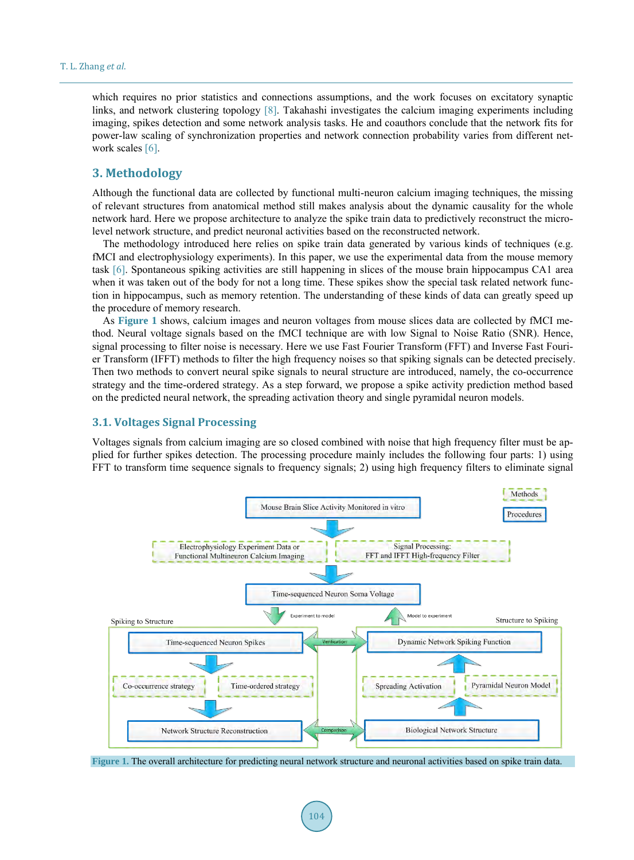which requires no prior statistics and connections assumptions, and the work focuses on excitatory synaptic links, and network clustering topology [\[8\].](#page-8-7) Takahashi investigates the calcium imaging experiments including imaging, spikes detection and some network analysis tasks. He and coauthors conclude that the network fits for power-law scaling of synchronization properties and network connection probability varies from different net-work scales [\[6\].](#page-8-5)

# **3. Methodology**

Although the functional data are collected by functional multi-neuron calcium imaging techniques, the missing of relevant structures from anatomical method still makes analysis about the dynamic causality for the whole network hard. Here we propose architecture to analyze the spike train data to predictively reconstruct the microlevel network structure, and predict neuronal activities based on the reconstructed network.

The methodology introduced here relies on spike train data generated by various kinds of techniques (e.g. fMCI and electrophysiology experiments). In this paper, we use the experimental data from the mouse memory task [\[6\].](#page-8-5) Spontaneous spiking activities are still happening in slices of the mouse brain hippocampus CA1 area when it was taken out of the body for not a long time. These spikes show the special task related network function in hippocampus, such as memory retention. The understanding of these kinds of data can greatly speed up the procedure of memory research.

As **[Figure 1](#page-2-0)** shows, calcium images and neuron voltages from mouse slices data are collected by fMCI method. Neural voltage signals based on the fMCI technique are with low Signal to Noise Ratio (SNR). Hence, signal processing to filter noise is necessary. Here we use Fast Fourier Transform (FFT) and Inverse Fast Fourier Transform (IFFT) methods to filter the high frequency noises so that spiking signals can be detected precisely. Then two methods to convert neural spike signals to neural structure are introduced, namely, the co-occurrence strategy and the time-ordered strategy. As a step forward, we propose a spike activity prediction method based on the predicted neural network, the spreading activation theory and single pyramidal neuron models.

## **3.1. Voltages Signal Processing**

Voltages signals from calcium imaging are so closed combined with noise that high frequency filter must be applied for further spikes detection. The processing procedure mainly includes the following four parts: 1) using FFT to transform time sequence signals to frequency signals; 2) using high frequency filters to eliminate signal

<span id="page-2-0"></span>

**Figure 1.** The overall architecture for predicting neural network structure and neuronal activities based on spike train data.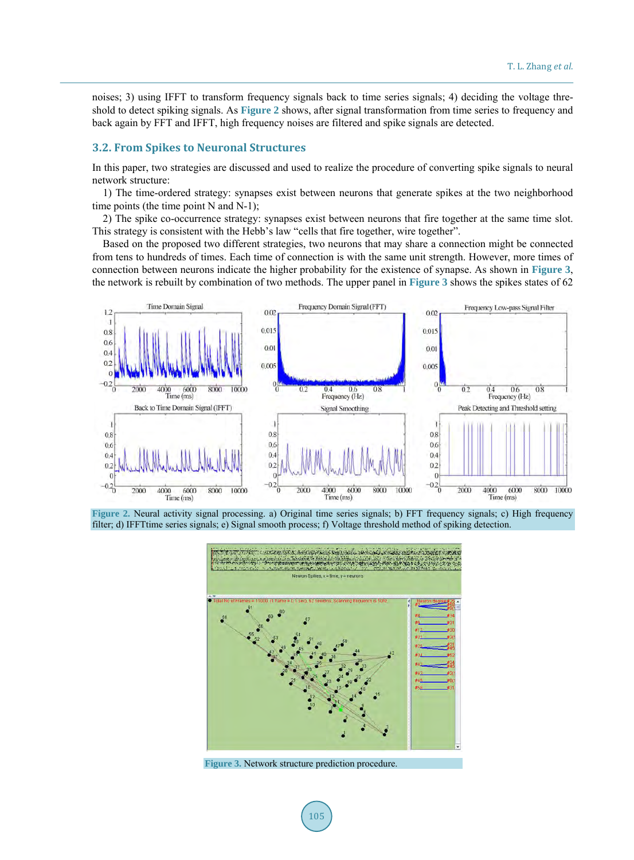noises; 3) using IFFT to transform frequency signals back to time series signals; 4) deciding the voltage threshold to detect spiking signals. As **[Figure 2](#page-3-0)** shows, after signal transformation from time series to frequency and back again by FFT and IFFT, high frequency noises are filtered and spike signals are detected.

## **3.2. From Spikes to Neuronal Structures**

In this paper, two strategies are discussed and used to realize the procedure of converting spike signals to neural network structure:

1) The time-ordered strategy: synapses exist between neurons that generate spikes at the two neighborhood time points (the time point N and N-1);

2) The spike co-occurrence strategy: synapses exist between neurons that fire together at the same time slot. This strategy is consistent with the Hebb's law "cells that fire together, wire together".

Based on the proposed two different strategies, two neurons that may share a connection might be connected from tens to hundreds of times. Each time of connection is with the same unit strength. However, more times of connection between neurons indicate the higher probability for the existence of synapse. As shown in **[Figure 3](#page-3-1)**, the network is rebuilt by combination of two methods. The upper panel in **[Figure 3](#page-3-1)** shows the spikes states of 62

<span id="page-3-0"></span>

<span id="page-3-1"></span>**Figure 2.** Neural activity signal processing. a) Original time series signals; b) FFT frequency signals; c) High frequency filter; d) IFFTtime series signals; e) Signal smooth process; f) Voltage threshold method of spiking detection.



**Figure 3.** Network structure prediction procedure.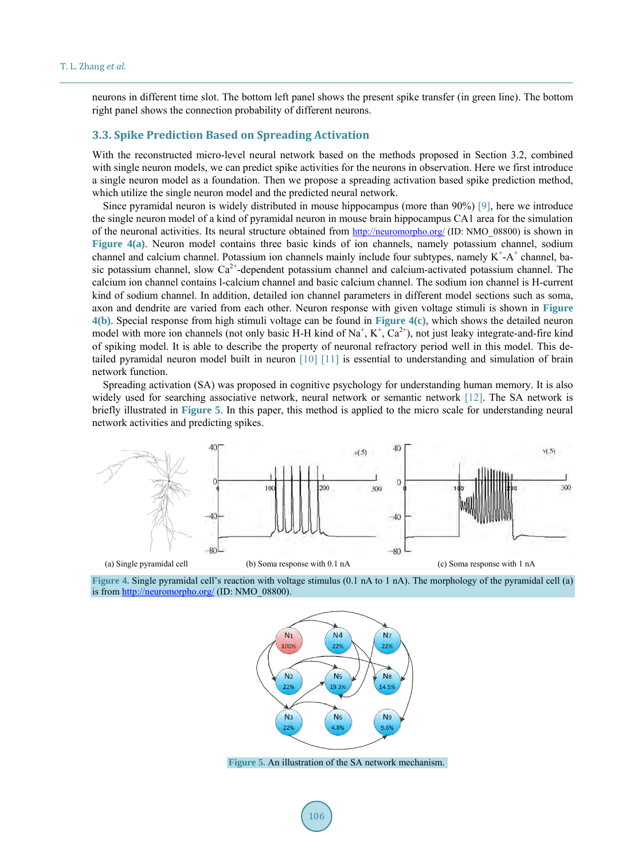neurons in different time slot. The bottom left panel shows the present spike transfer (in green line). The bottom right panel shows the connection probability of different neurons.

## **3.3. Spike Prediction Based on Spreading Activation**

With the reconstructed micro-level neural network based on the methods proposed in Section 3.2, combined with single neuron models, we can predict spike activities for the neurons in observation. Here we first introduce a single neuron model as a foundation. Then we propose a spreading activation based spike prediction method, which utilize the single neuron model and the predicted neural network.

Since pyramidal neuron is widely distributed in mouse hippocampus (more than 90%) [\[9\],](#page-8-8) here we introduce the single neuron model of a kind of pyramidal neuron in mouse brain hippocampus CA1 area for the simulation of the neuronal activities. Its neural structure obtained from<http://neuromorpho.org/>(ID: NMO\_08800) is shown in **[Figure 4\(a\)](#page-4-0)**. Neuron model contains three basic kinds of ion channels, namely potassium channel, sodium channel and calcium channel. Potassium ion channels mainly include four subtypes, namely  $K^+A^+$  channel, basic potassium channel, slow  $Ca^{2+}$ -dependent potassium channel and calcium-activated potassium channel. The calcium ion channel contains l-calcium channel and basic calcium channel. The sodium ion channel is H-current kind of sodium channel. In addition, detailed ion channel parameters in different model sections such as soma, axon and dendrite are varied from each other. Neuron response with given voltage stimuli is shown in **[Figure](#page-4-1)  [4\(b\)](#page-4-1)**. Special response from high stimuli voltage can be found in **[Figure 4\(c\)](#page-4-1)**, which shows the detailed neuron model with more ion channels (not only basic H-H kind of  $Na^+$ ,  $K^+$ ,  $Ca^{2+}$ ), not just leaky integrate-and-fire kind of spiking model. It is able to describe the property of neuronal refractory period well in this model. This detailed pyramidal neuron model built in neuron [\[10\]](#page-8-9) [\[11\]](#page-8-10) is essential to understanding and simulation of brain network function.

Spreading activation (SA) was proposed in cognitive psychology for understanding human memory. It is also widely used for searching associative network, neural network or semantic network [\[12\].](#page-8-11) The SA network is briefly illustrated in **[Figure 5](#page-4-2)**. In this paper, this method is applied to the micro scale for understanding neural network activities and predicting spikes.

<span id="page-4-1"></span><span id="page-4-0"></span>

<span id="page-4-2"></span>



**Figure 5.** An illustration of the SA network mechanism.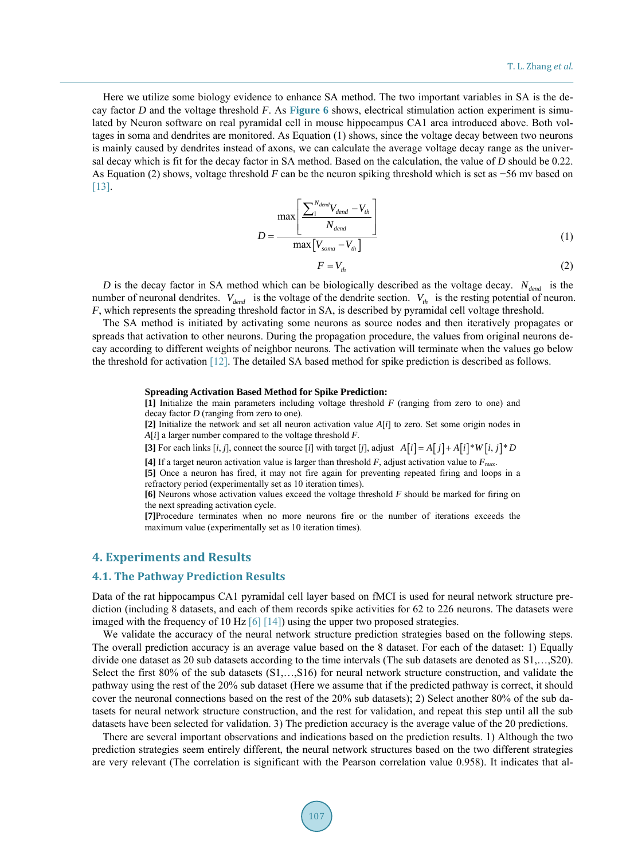Here we utilize some biology evidence to enhance SA method. The two important variables in SA is the decay factor *D* and the voltage threshold *F*. As **[Figure 6](#page-6-0)** shows, electrical stimulation action experiment is simulated by Neuron software on real pyramidal cell in mouse hippocampus CA1 area introduced above. Both voltages in soma and dendrites are monitored. As Equation (1) shows, since the voltage decay between two neurons is mainly caused by dendrites instead of axons, we can calculate the average voltage decay range as the universal decay which is fit for the decay factor in SA method. Based on the calculation, the value of *D* should be 0.22. As Equation (2) shows, voltage threshold *F* can be the neuron spiking threshold which is set as −56 mv based on [13].

$$
D = \frac{\max\left[\frac{\sum_{1}^{N_{dend}}V_{dend} - V_{th}}{N_{dend}}\right]}{\max\left[V_{soma} - V_{th}\right]}
$$
(1)

$$
F = V_{th} \tag{2}
$$

*D* is the decay factor in SA method which can be biologically described as the voltage decay.  $N_{dend}$  is the number of neuronal dendrites.  $V_{dend}$  is the voltage of the dendrite section.  $V_{th}$  is the resting potential of neuron. *F*, which represents the spreading threshold factor in SA, is described by pyramidal cell voltage threshold.

The SA method is initiated by activating some neurons as source nodes and then iteratively propagates or spreads that activation to other neurons. During the propagation procedure, the values from original neurons decay according to different weights of neighbor neurons. The activation will terminate when the values go below the threshold for activation [\[12\].](#page-8-11) The detailed SA based method for spike prediction is described as follows.

#### **Spreading Activation Based Method for Spike Prediction:**

**[1]** Initialize the main parameters including voltage threshold *F* (ranging from zero to one) and decay factor *D* (ranging from zero to one).

**[2]** Initialize the network and set all neuron activation value *A*[*i*] to zero. Set some origin nodes in *A*[*i*] a larger number compared to the voltage threshold *F*.

[3] For each links  $[i, j]$ , connect the source  $[i]$  with target  $[j]$ , adjust  $A[i] = A[j] + A[i] * W[i, j] * D$ 

[4] If a target neuron activation value is larger than threshold  $F$ , adjust activation value to  $F_{\text{max}}$ .

**[5]** Once a neuron has fired, it may not fire again for preventing repeated firing and loops in a

refractory period (experimentally set as 10 iteration times).

**[6]** Neurons whose activation values exceed the voltage threshold *F* should be marked for firing on the next spreading activation cycle.

**[7]**Procedure terminates when no more neurons fire or the number of iterations exceeds the maximum value (experimentally set as 10 iteration times).

# **4. Experiments and Results**

#### **4.1. The Pathway Prediction Results**

Data of the rat hippocampus CA1 pyramidal cell layer based on fMCI is used for neural network structure prediction (including 8 datasets, and each of them records spike activities for 62 to 226 neurons. The datasets were imaged with the frequency of 10 H[z \[6\]](#page-8-5) [\[14\]\)](#page-8-13) using the upper two proposed strategies.

We validate the accuracy of the neural network structure prediction strategies based on the following steps. The overall prediction accuracy is an average value based on the 8 dataset. For each of the dataset: 1) Equally divide one dataset as 20 sub datasets according to the time intervals (The sub datasets are denoted as S1,…,S20). Select the first 80% of the sub datasets (S1,…,S16) for neural network structure construction, and validate the pathway using the rest of the 20% sub dataset (Here we assume that if the predicted pathway is correct, it should cover the neuronal connections based on the rest of the 20% sub datasets); 2) Select another 80% of the sub datasets for neural network structure construction, and the rest for validation, and repeat this step until all the sub datasets have been selected for validation. 3) The prediction accuracy is the average value of the 20 predictions.

There are several important observations and indications based on the prediction results. 1) Although the two prediction strategies seem entirely different, the neural network structures based on the two different strategies are very relevant (The correlation is significant with the Pearson correlation value 0.958). It indicates that al-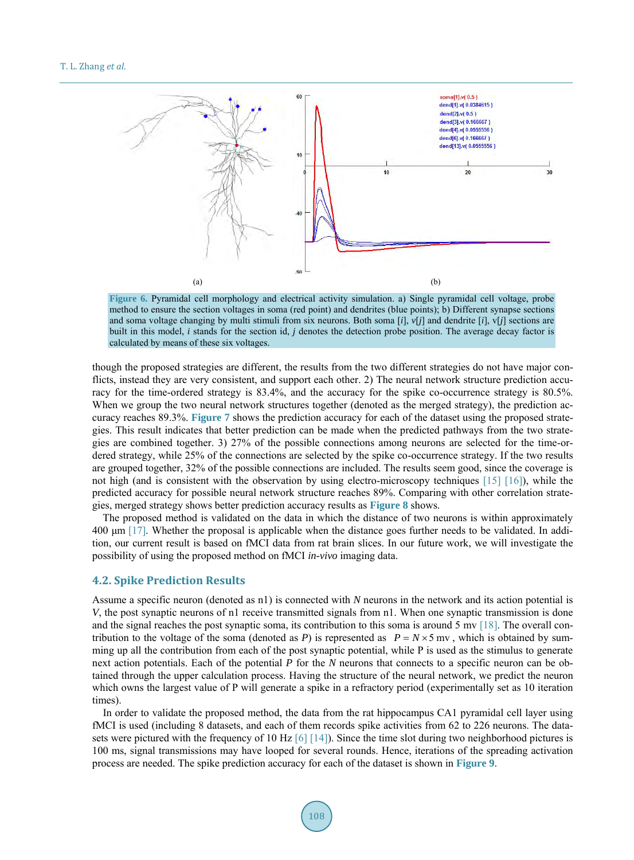<span id="page-6-0"></span>

**Figure 6.** Pyramidal cell morphology and electrical activity simulation. a) Single pyramidal cell voltage, probe method to ensure the section voltages in soma (red point) and dendrites (blue points); b) Different synapse sections and soma voltage changing by multi stimuli from six neurons. Both soma [*i*], *v*[*j*] and dendrite [*i*], v[*j*] sections are built in this model, *i* stands for the section id, *j* denotes the detection probe position. The average decay factor is calculated by means of these six voltages.

though the proposed strategies are different, the results from the two different strategies do not have major conflicts, instead they are very consistent, and support each other. 2) The neural network structure prediction accuracy for the time-ordered strategy is 83.4%, and the accuracy for the spike co-occurrence strategy is 80.5%. When we group the two neural network structures together (denoted as the merged strategy), the prediction accuracy reaches 89.3%. **[Figure 7](#page-7-0)** shows the prediction accuracy for each of the dataset using the proposed strategies. This result indicates that better prediction can be made when the predicted pathways from the two strategies are combined together. 3) 27% of the possible connections among neurons are selected for the time-ordered strategy, while 25% of the connections are selected by the spike co-occurrence strategy. If the two results are grouped together, 32% of the possible connections are included. The results seem good, since the coverage is not high (and is consistent with the observation by using electro-microscopy techniques [\[15\]](#page-8-14) [\[16\]\)](#page-9-0), while the predicted accuracy for possible neural network structure reaches 89%. Comparing with other correlation strategies, merged strategy shows better prediction accuracy results as **[Figure 8](#page-7-1)** shows.

The proposed method is validated on the data in which the distance of two neurons is within approximately 400 μm [\[17\].](#page-9-1) Whether the proposal is applicable when the distance goes further needs to be validated. In addition, our current result is based on fMCI data from rat brain slices. In our future work, we will investigate the possibility of using the proposed method on fMCI *in-vivo* imaging data.

#### **4.2. Spike Prediction Results**

Assume a specific neuron (denoted as n1) is connected with *N* neurons in the network and its action potential is *V*, the post synaptic neurons of n1 receive transmitted signals from n1. When one synaptic transmission is done and the signal reaches the post synaptic soma, its contribution to this soma is around 5 m[v \[18\].](#page-9-2) The overall contribution to the voltage of the soma (denoted as *P*) is represented as  $P = N \times 5$  mv, which is obtained by summing up all the contribution from each of the post synaptic potential, while P is used as the stimulus to generate next action potentials. Each of the potential *P* for the *N* neurons that connects to a specific neuron can be obtained through the upper calculation process. Having the structure of the neural network, we predict the neuron which owns the largest value of P will generate a spike in a refractory period (experimentally set as 10 iteration times).

In order to validate the proposed method, the data from the rat hippocampus CA1 pyramidal cell layer using fMCI is used (including 8 datasets, and each of them records spike activities from 62 to 226 neurons. The datasets were pictured with the frequency of 10 Hz  $[6]$  [\[14\]\)](#page-8-13). Since the time slot during two neighborhood pictures is 100 ms, signal transmissions may have looped for several rounds. Hence, iterations of the spreading activation process are needed. The spike prediction accuracy for each of the dataset is shown in **[Figure 9](#page-7-2)**.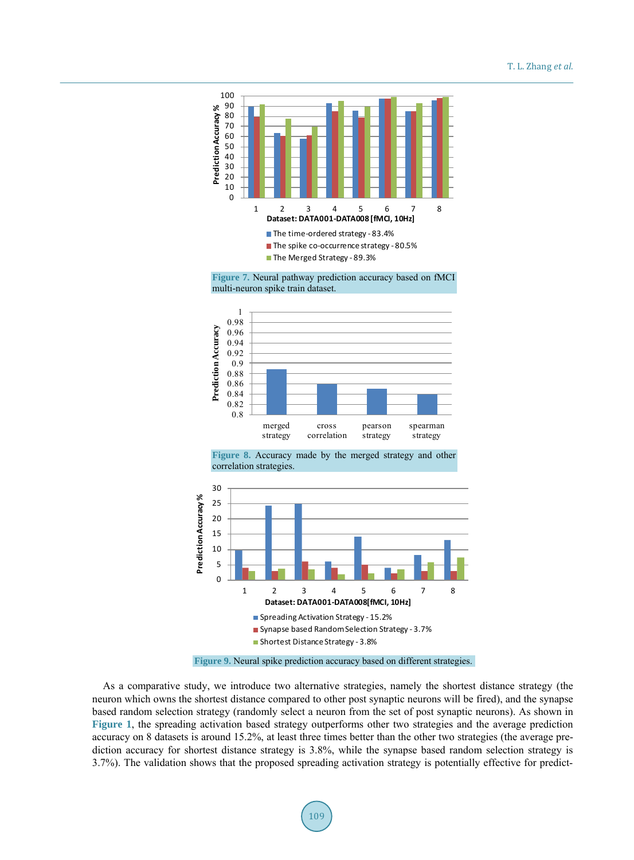<span id="page-7-0"></span>

**Figure 7.** Neural pathway prediction accuracy based on fMCI multi-neuron spike train dataset.

<span id="page-7-1"></span>

**Figure 8.** Accuracy made by the merged strategy and other correlation strategies.

<span id="page-7-2"></span>

**Figure 9.** Neural spike prediction accuracy based on different strategies.

As a comparative study, we introduce two alternative strategies, namely the shortest distance strategy (the neuron which owns the shortest distance compared to other post synaptic neurons will be fired), and the synapse based random selection strategy (randomly select a neuron from the set of post synaptic neurons). As shown in **[Figure 1](#page-2-0)**, the spreading activation based strategy outperforms other two strategies and the average prediction accuracy on 8 datasets is around 15.2%, at least three times better than the other two strategies (the average prediction accuracy for shortest distance strategy is 3.8%, while the synapse based random selection strategy is 3.7%). The validation shows that the proposed spreading activation strategy is potentially effective for predict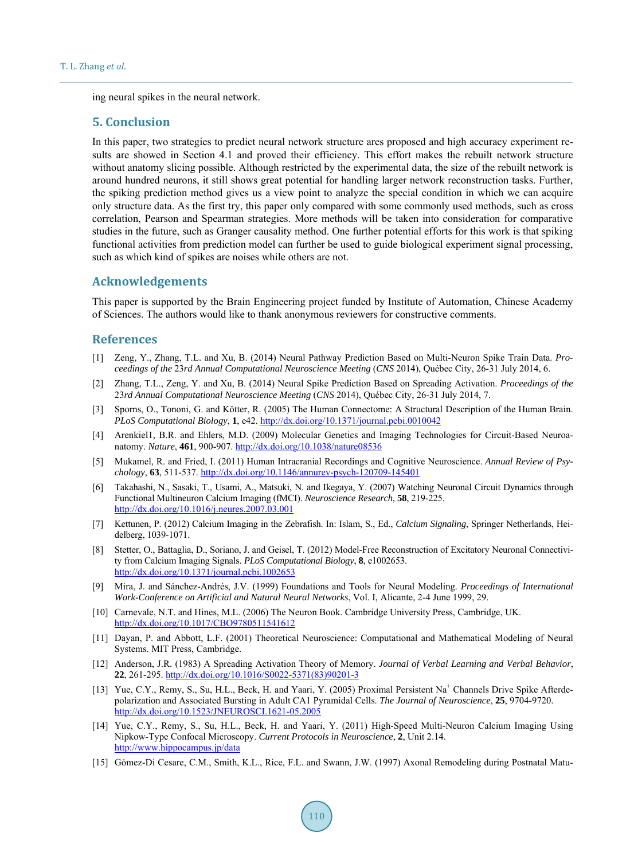ing neural spikes in the neural network.

## **5. Conclusion**

In this paper, two strategies to predict neural network structure ares proposed and high accuracy experiment results are showed in Section 4.1 and proved their efficiency. This effort makes the rebuilt network structure without anatomy slicing possible. Although restricted by the experimental data, the size of the rebuilt network is around hundred neurons, it still shows great potential for handling larger network reconstruction tasks. Further, the spiking prediction method gives us a view point to analyze the special condition in which we can acquire only structure data. As the first try, this paper only compared with some commonly used methods, such as cross correlation, Pearson and Spearman strategies. More methods will be taken into consideration for comparative studies in the future, such as Granger causality method. One further potential efforts for this work is that spiking functional activities from prediction model can further be used to guide biological experiment signal processing, such as which kind of spikes are noises while others are not.

## **Acknowledgements**

This paper is supported by the Brain Engineering project funded by Institute of Automation, Chinese Academy of Sciences. The authors would like to thank anonymous reviewers for constructive comments.

## **References**

- <span id="page-8-0"></span>[1] Zeng, Y., Zhang, T.L. and Xu, B. (2014) Neural Pathway Prediction Based on Multi-Neuron Spike Train Data. *Proceedings of the* 23*rd Annual Computational Neuroscience Meeting* (*CNS* 2014), Québec City, 26-31 July 2014, 6.
- <span id="page-8-1"></span>[2] Zhang, T.L., Zeng, Y. and Xu, B. (2014) Neural Spike Prediction Based on Spreading Activation. *Proceedings of the*  23*rd Annual Computational Neuroscience Meeting* (*CNS* 2014), Québec City, 26-31 July 2014, 7.
- <span id="page-8-2"></span>[3] Sporns, O., Tononi, G. and Kötter, R. (2005) The Human Connectome: A Structural Description of the Human Brain. *PLoS Computational Biology*, **1**, e42[. http://dx.doi.org/10.1371/journal.pcbi.0010042](http://dx.doi.org/10.1371/journal.pcbi.0010042)
- <span id="page-8-3"></span>[4] Arenkiel1, B.R. and Ehlers, M.D. (2009) Molecular Genetics and Imaging Technologies for Circuit-Based Neuroanatomy. *Nature*, **461**, 900-907.<http://dx.doi.org/10.1038/nature08536>
- <span id="page-8-4"></span>[5] Mukamel, R. and Fried, I. (2011) Human Intracranial Recordings and Cognitive Neuroscience. *Annual Review of Psychology*, **63**, 511-537[. http://dx.doi.org/10.1146/annurev-psych-120709-145401](http://dx.doi.org/10.1146/annurev-psych-120709-145401)
- <span id="page-8-5"></span>[6] Takahashi, N., Sasaki, T., Usami, A., Matsuki, N. and Ikegaya, Y. (2007) Watching Neuronal Circuit Dynamics through Functional Multineuron Calcium Imaging (fMCI). *Neuroscience Research*, **58**, 219-225. <http://dx.doi.org/10.1016/j.neures.2007.03.001>
- <span id="page-8-6"></span>[7] Kettunen, P. (2012) Calcium Imaging in the Zebrafish. In: Islam, S., Ed., *Calcium Signaling*, Springer Netherlands, Heidelberg, 1039-1071.
- <span id="page-8-7"></span>[8] Stetter, O., Battaglia, D., Soriano, J. and Geisel, T. (2012) Model-Free Reconstruction of Excitatory Neuronal Connectivity from Calcium Imaging Signals. *PLoS Computational Biology*, **8**, e1002653. <http://dx.doi.org/10.1371/journal.pcbi.1002653>
- <span id="page-8-8"></span>[9] Mira, J. and Sánchez-Andrés, J.V. (1999) Foundations and Tools for Neural Modeling. *Proceedings of International Work*-*Conference on Artificial and Natural Neural Networks*, Vol. I, Alicante, 2-4 June 1999, 29.
- <span id="page-8-9"></span>[10] Carnevale, N.T. and Hines, M.L. (2006) The Neuron Book. Cambridge University Press, Cambridge, UK. <http://dx.doi.org/10.1017/CBO9780511541612>
- <span id="page-8-10"></span>[11] Dayan, P. and Abbott, L.F. (2001) Theoretical Neuroscience: Computational and Mathematical Modeling of Neural Systems. MIT Press, Cambridge.
- <span id="page-8-11"></span>[12] Anderson, J.R. (1983) A Spreading Activation Theory of Memory. *Journal of Verbal Learning and Verbal Behavior*, **22**, 261-295[. http://dx.doi.org/10.1016/S0022-5371\(83\)90201-3](http://dx.doi.org/10.1016/S0022-5371(83)90201-3)
- <span id="page-8-12"></span>[13] Yue, C.Y., Remy, S., Su, H.L., Beck, H. and Yaari, Y. (2005) Proximal Persistent Na<sup>+</sup> Channels Drive Spike Afterdepolarization and Associated Bursting in Adult CA1 Pyramidal Cells. *The Journal of Neuroscience*, **25**, 9704-9720. <http://dx.doi.org/10.1523/JNEUROSCI.1621-05.2005>
- <span id="page-8-13"></span>[14] Yue, C.Y., Remy, S., Su, H.L., Beck, H. and Yaari, Y. (2011) High-Speed Multi-Neuron Calcium Imaging Using Nipkow-Type Confocal Microscopy. *Current Protocols in Neuroscience*, **2**, Unit 2.14. <http://www.hippocampus.jp/data>
- <span id="page-8-14"></span>[15] Gómez-Di Cesare, C.M., Smith, K.L., Rice, F.L. and Swann, J.W. (1997) Axonal Remodeling during Postnatal Matu-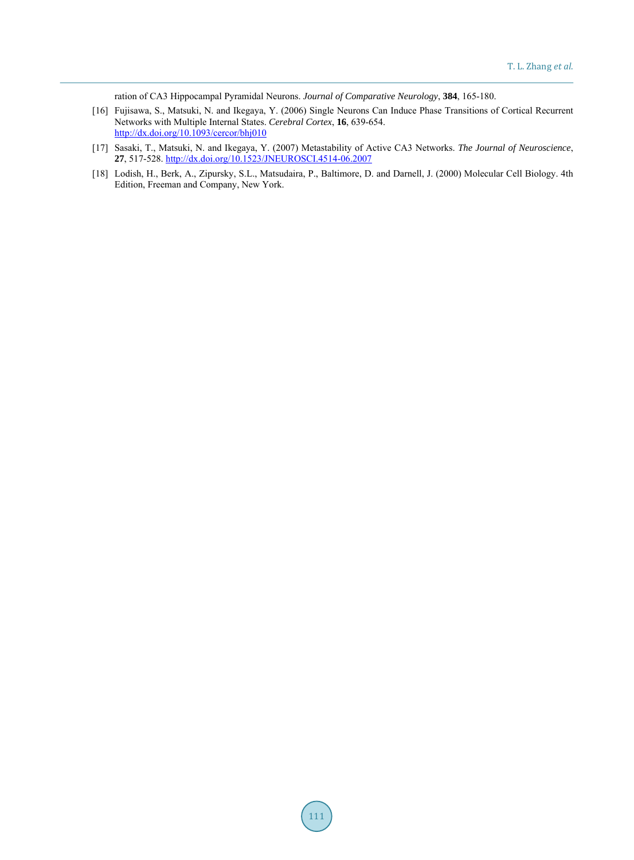ration of CA3 Hippocampal Pyramidal Neurons. *Journal of Comparative Neurology*, **384**, 165-180.

- <span id="page-9-0"></span>[16] Fujisawa, S., Matsuki, N. and Ikegaya, Y. (2006) Single Neurons Can Induce Phase Transitions of Cortical Recurrent Networks with Multiple Internal States. *Cerebral Cortex*, **16**, 639-654. <http://dx.doi.org/10.1093/cercor/bhj010>
- <span id="page-9-1"></span>[17] Sasaki, T., Matsuki, N. and Ikegaya, Y. (2007) Metastability of Active CA3 Networks. *The Journal of Neuroscience*, **27**, 517-528[. http://dx.doi.org/10.1523/JNEUROSCI.4514-06.2007](http://dx.doi.org/10.1523/JNEUROSCI.4514-06.2007)
- <span id="page-9-2"></span>[18] Lodish, H., Berk, A., Zipursky, S.L., Matsudaira, P., Baltimore, D. and Darnell, J. (2000) Molecular Cell Biology. 4th Edition, Freeman and Company, New York.